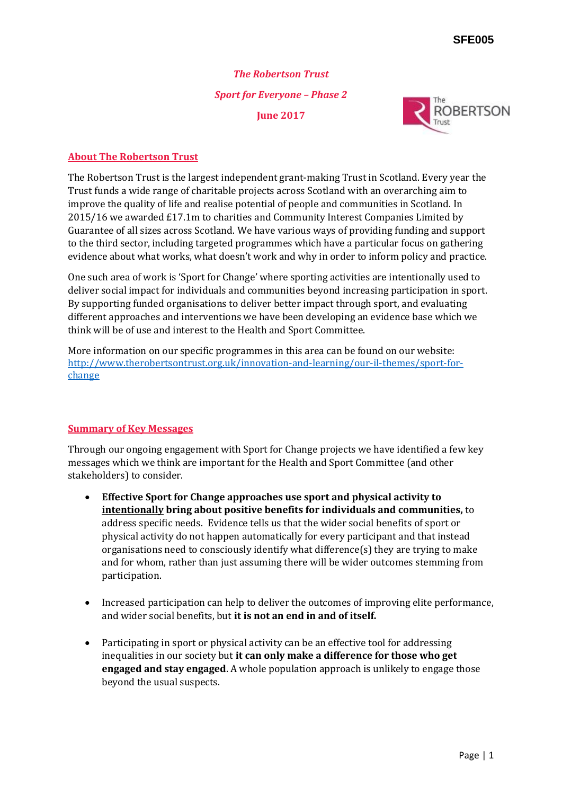# *The Robertson Trust Sport for Everyone – Phase 2* **June 2017**



#### **About The Robertson Trust**

The Robertson Trust is the largest independent grant-making Trust in Scotland. Every year the Trust funds a wide range of charitable projects across Scotland with an overarching aim to improve the quality of life and realise potential of people and communities in Scotland. In 2015/16 we awarded £17.1m to charities and Community Interest Companies Limited by Guarantee of all sizes across Scotland. We have various ways of providing funding and support to the third sector, including targeted programmes which have a particular focus on gathering evidence about what works, what doesn't work and why in order to inform policy and practice.

One such area of work is 'Sport for Change' where sporting activities are intentionally used to deliver social impact for individuals and communities beyond increasing participation in sport. By supporting funded organisations to deliver better impact through sport, and evaluating different approaches and interventions we have been developing an evidence base which we think will be of use and interest to the Health and Sport Committee.

More information on our specific programmes in this area can be found on our website: [http://www.therobertsontrust.org.uk/innovation-and-learning/our-il-themes/sport-for](http://www.therobertsontrust.org.uk/innovation-and-learning/our-il-themes/sport-for-change)[change](http://www.therobertsontrust.org.uk/innovation-and-learning/our-il-themes/sport-for-change)

## **Summary of Key Messages**

Through our ongoing engagement with Sport for Change projects we have identified a few key messages which we think are important for the Health and Sport Committee (and other stakeholders) to consider.

- **Effective Sport for Change approaches use sport and physical activity to intentionally bring about positive benefits for individuals and communities,** to address specific needs. Evidence tells us that the wider social benefits of sport or physical activity do not happen automatically for every participant and that instead organisations need to consciously identify what difference(s) they are trying to make and for whom, rather than just assuming there will be wider outcomes stemming from participation.
- Increased participation can help to deliver the outcomes of improving elite performance, and wider social benefits, but **it is not an end in and of itself.**
- Participating in sport or physical activity can be an effective tool for addressing inequalities in our society but **it can only make a difference for those who get engaged and stay engaged**. A whole population approach is unlikely to engage those beyond the usual suspects.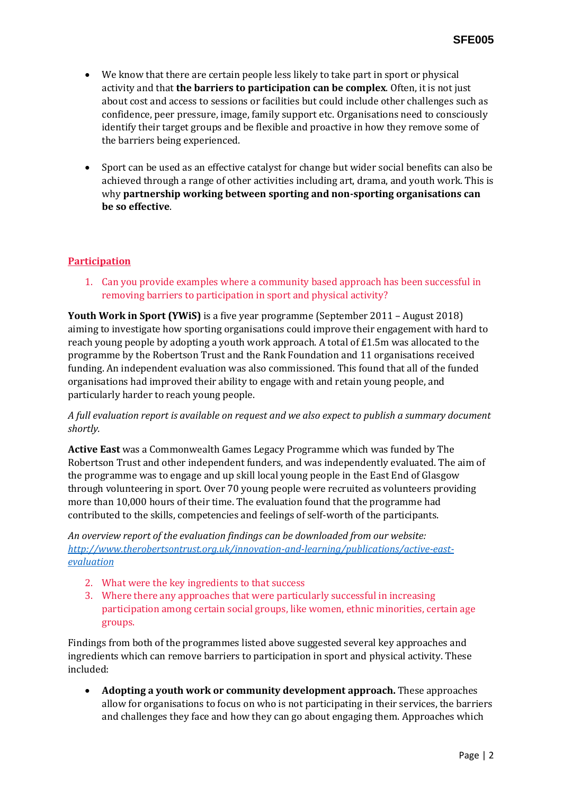- We know that there are certain people less likely to take part in sport or physical activity and that **the barriers to participation can be complex**. Often, it is not just about cost and access to sessions or facilities but could include other challenges such as confidence, peer pressure, image, family support etc. Organisations need to consciously identify their target groups and be flexible and proactive in how they remove some of the barriers being experienced.
- Sport can be used as an effective catalyst for change but wider social benefits can also be achieved through a range of other activities including art, drama, and youth work. This is why **partnership working between sporting and non-sporting organisations can be so effective**.

### **Participation**

1. Can you provide examples where a community based approach has been successful in removing barriers to participation in sport and physical activity?

**Youth Work in Sport (YWiS)** is a five year programme (September 2011 – August 2018) aiming to investigate how sporting organisations could improve their engagement with hard to reach young people by adopting a youth work approach. A total of £1.5m was allocated to the programme by the Robertson Trust and the Rank Foundation and 11 organisations received funding. An independent evaluation was also commissioned. This found that all of the funded organisations had improved their ability to engage with and retain young people, and particularly harder to reach young people.

*A full evaluation report is available on request and we also expect to publish a summary document shortly.* 

**Active East** was a Commonwealth Games Legacy Programme which was funded by The Robertson Trust and other independent funders, and was independently evaluated. The aim of the programme was to engage and up skill local young people in the East End of Glasgow through volunteering in sport. Over 70 young people were recruited as volunteers providing more than 10,000 hours of their time. The evaluation found that the programme had contributed to the skills, competencies and feelings of self-worth of the participants.

*An overview report of the evaluation findings can be downloaded from our website: [http://www.therobertsontrust.org.uk/innovation-and-learning/publications/active-east](http://www.therobertsontrust.org.uk/innovation-and-learning/publications/active-east-evaluation)[evaluation](http://www.therobertsontrust.org.uk/innovation-and-learning/publications/active-east-evaluation)*

- 2. What were the key ingredients to that success
- 3. Where there any approaches that were particularly successful in increasing participation among certain social groups, like women, ethnic minorities, certain age groups.

Findings from both of the programmes listed above suggested several key approaches and ingredients which can remove barriers to participation in sport and physical activity. These included:

 **Adopting a youth work or community development approach.** These approaches allow for organisations to focus on who is not participating in their services, the barriers and challenges they face and how they can go about engaging them. Approaches which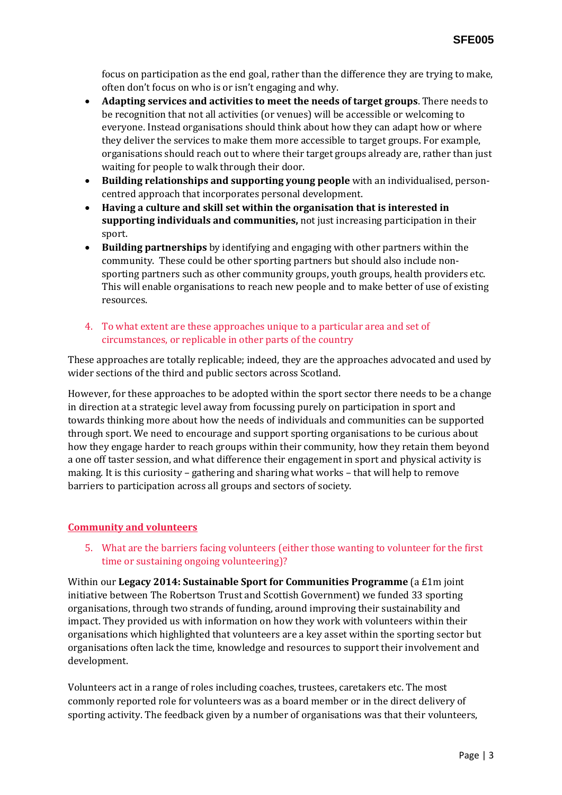focus on participation as the end goal, rather than the difference they are trying to make, often don't focus on who is or isn't engaging and why.

- **Adapting services and activities to meet the needs of target groups**. There needs to be recognition that not all activities (or venues) will be accessible or welcoming to everyone. Instead organisations should think about how they can adapt how or where they deliver the services to make them more accessible to target groups. For example, organisations should reach out to where their target groups already are, rather than just waiting for people to walk through their door.
- **Building relationships and supporting young people** with an individualised, personcentred approach that incorporates personal development.
- **Having a culture and skill set within the organisation that is interested in supporting individuals and communities,** not just increasing participation in their sport.
- **Building partnerships** by identifying and engaging with other partners within the community. These could be other sporting partners but should also include nonsporting partners such as other community groups, youth groups, health providers etc. This will enable organisations to reach new people and to make better of use of existing resources.
- 4. To what extent are these approaches unique to a particular area and set of circumstances, or replicable in other parts of the country

These approaches are totally replicable; indeed, they are the approaches advocated and used by wider sections of the third and public sectors across Scotland.

However, for these approaches to be adopted within the sport sector there needs to be a change in direction at a strategic level away from focussing purely on participation in sport and towards thinking more about how the needs of individuals and communities can be supported through sport. We need to encourage and support sporting organisations to be curious about how they engage harder to reach groups within their community, how they retain them beyond a one off taster session, and what difference their engagement in sport and physical activity is making. It is this curiosity – gathering and sharing what works – that will help to remove barriers to participation across all groups and sectors of society.

#### **Community and volunteers**

5. What are the barriers facing volunteers (either those wanting to volunteer for the first time or sustaining ongoing volunteering)?

Within our **Legacy 2014: Sustainable Sport for Communities Programme** (a £1m joint initiative between The Robertson Trust and Scottish Government) we funded 33 sporting organisations, through two strands of funding, around improving their sustainability and impact. They provided us with information on how they work with volunteers within their organisations which highlighted that volunteers are a key asset within the sporting sector but organisations often lack the time, knowledge and resources to support their involvement and development.

Volunteers act in a range of roles including coaches, trustees, caretakers etc. The most commonly reported role for volunteers was as a board member or in the direct delivery of sporting activity. The feedback given by a number of organisations was that their volunteers,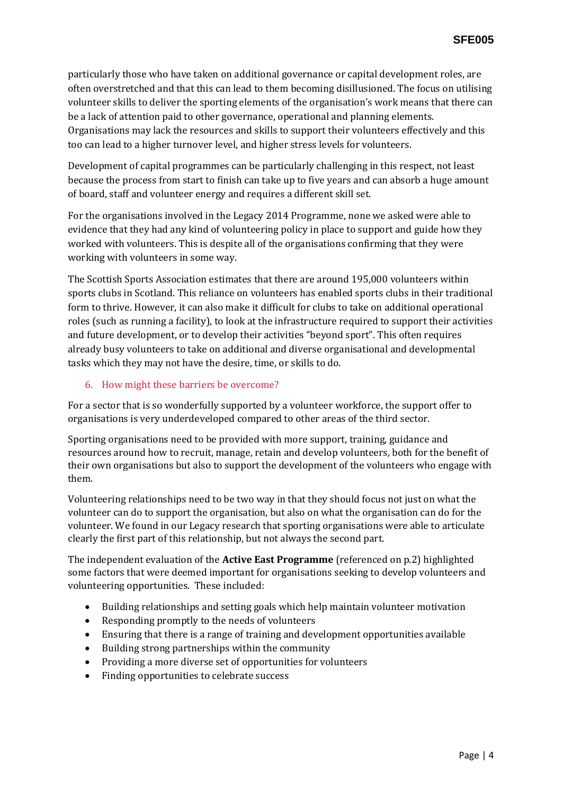particularly those who have taken on additional governance or capital development roles, are often overstretched and that this can lead to them becoming disillusioned. The focus on utilising volunteer skills to deliver the sporting elements of the organisation's work means that there can be a lack of attention paid to other governance, operational and planning elements. Organisations may lack the resources and skills to support their volunteers effectively and this too can lead to a higher turnover level, and higher stress levels for volunteers.

Development of capital programmes can be particularly challenging in this respect, not least because the process from start to finish can take up to five years and can absorb a huge amount of board, staff and volunteer energy and requires a different skill set.

For the organisations involved in the Legacy 2014 Programme, none we asked were able to evidence that they had any kind of volunteering policy in place to support and guide how they worked with volunteers. This is despite all of the organisations confirming that they were working with volunteers in some way.

The Scottish Sports Association estimates that there are around 195,000 volunteers within sports clubs in Scotland. This reliance on volunteers has enabled sports clubs in their traditional form to thrive. However, it can also make it difficult for clubs to take on additional operational roles (such as running a facility), to look at the infrastructure required to support their activities and future development, or to develop their activities "beyond sport". This often requires already busy volunteers to take on additional and diverse organisational and developmental tasks which they may not have the desire, time, or skills to do.

#### 6. How might these barriers be overcome?

For a sector that is so wonderfully supported by a volunteer workforce, the support offer to organisations is very underdeveloped compared to other areas of the third sector.

Sporting organisations need to be provided with more support, training, guidance and resources around how to recruit, manage, retain and develop volunteers, both for the benefit of their own organisations but also to support the development of the volunteers who engage with them.

Volunteering relationships need to be two way in that they should focus not just on what the volunteer can do to support the organisation, but also on what the organisation can do for the volunteer. We found in our Legacy research that sporting organisations were able to articulate clearly the first part of this relationship, but not always the second part.

The independent evaluation of the **Active East Programme** (referenced on p.2) highlighted some factors that were deemed important for organisations seeking to develop volunteers and volunteering opportunities. These included:

- Building relationships and setting goals which help maintain volunteer motivation
- Responding promptly to the needs of volunteers
- Ensuring that there is a range of training and development opportunities available
- Building strong partnerships within the community
- Providing a more diverse set of opportunities for volunteers
- Finding opportunities to celebrate success